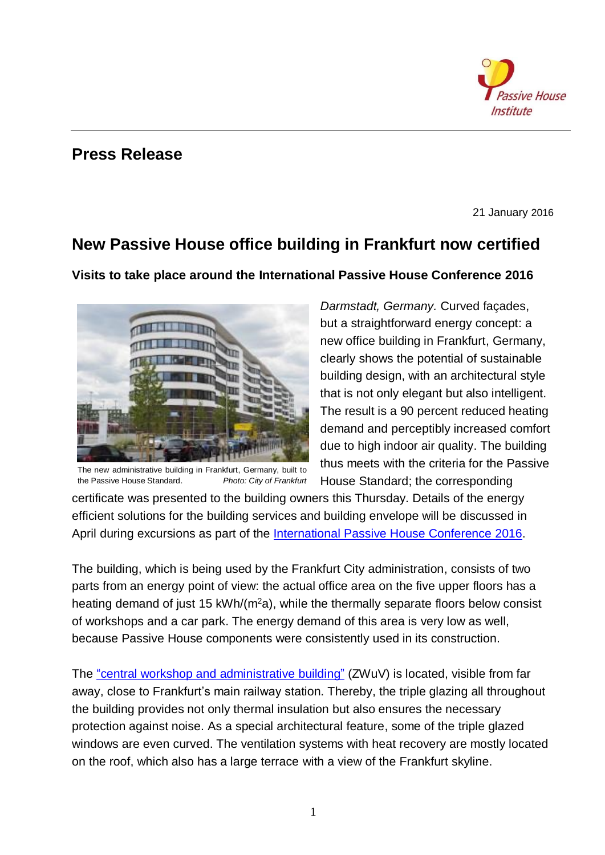

## **Press Release**

21 January 2016

## **New Passive House office building in Frankfurt now certified**

**Visits to take place around the International Passive House Conference 2016** 



The new administrative building in Frankfurt, Germany, built to the Passive House Standard. *Photo: City of Frankfurt*

*Darmstadt, Germany.* Curved façades, but a straightforward energy concept: a new office building in Frankfurt, Germany, clearly shows the potential of sustainable building design, with an architectural style that is not only elegant but also intelligent. The result is a 90 percent reduced heating demand and perceptibly increased comfort due to high indoor air quality. The building thus meets with the criteria for the Passive House Standard; the corresponding

certificate was presented to the building owners this Thursday. Details of the energy efficient solutions for the building services and building envelope will be discussed in April during excursions as part of the International [Passive House Conference](http://www.passivehouse-conference.org/) 2016.

The building, which is being used by the Frankfurt City administration, consists of two parts from an energy point of view: the actual office area on the five upper floors has a heating demand of just 15 kWh/ $(m<sup>2</sup>a)$ , while the thermally separate floors below consist of workshops and a car park. The energy demand of this area is very low as well, because Passive House components were consistently used in its construction.

The ["central workshop and administrative](http://www.passivhausprojekte.de/index.php?lang=en#d_4524) building" (ZWuV) is located, visible from far away, close to Frankfurt's main railway station. Thereby, the triple glazing all throughout the building provides not only thermal insulation but also ensures the necessary protection against noise. As a special architectural feature, some of the triple glazed windows are even curved. The ventilation systems with heat recovery are mostly located on the roof, which also has a large terrace with a view of the Frankfurt skyline.